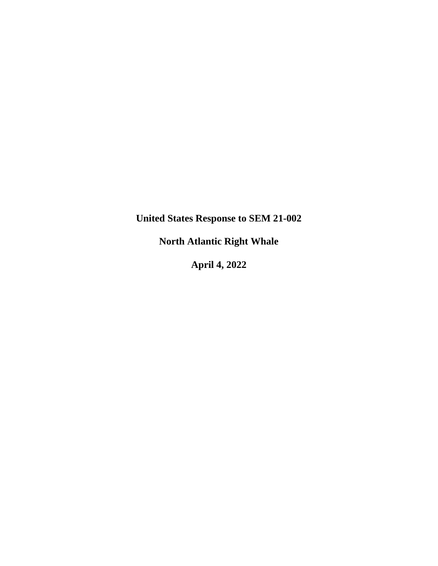**United States Response to SEM 21-002**

**North Atlantic Right Whale**

**April 4, 2022**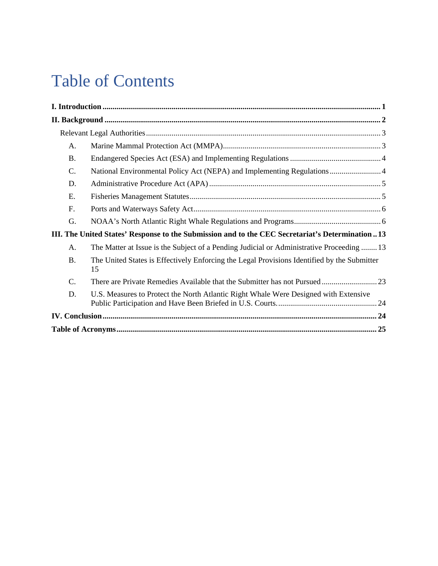# Table of Contents

| A.                                                                                              |                                                                                                   |  |
|-------------------------------------------------------------------------------------------------|---------------------------------------------------------------------------------------------------|--|
| <b>B.</b>                                                                                       |                                                                                                   |  |
| C.                                                                                              | National Environmental Policy Act (NEPA) and Implementing Regulations 4                           |  |
| D.                                                                                              |                                                                                                   |  |
| E.                                                                                              |                                                                                                   |  |
| F.                                                                                              |                                                                                                   |  |
| G.                                                                                              |                                                                                                   |  |
| III. The United States' Response to the Submission and to the CEC Secretariat's Determination13 |                                                                                                   |  |
| A.                                                                                              | The Matter at Issue is the Subject of a Pending Judicial or Administrative Proceeding  13         |  |
| <b>B.</b>                                                                                       | The United States is Effectively Enforcing the Legal Provisions Identified by the Submitter<br>15 |  |
| C.                                                                                              |                                                                                                   |  |
| D.                                                                                              | U.S. Measures to Protect the North Atlantic Right Whale Were Designed with Extensive              |  |
|                                                                                                 |                                                                                                   |  |
|                                                                                                 |                                                                                                   |  |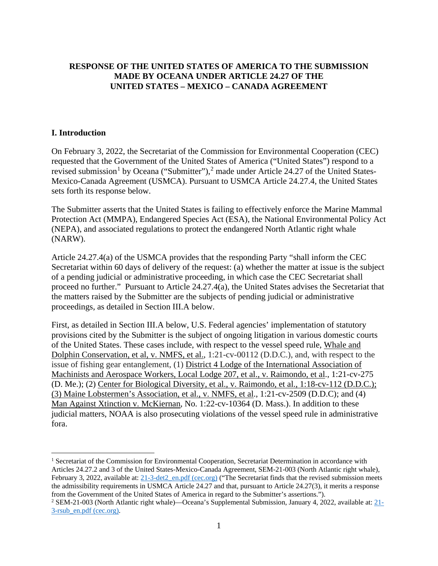## **RESPONSE OF THE UNITED STATES OF AMERICA TO THE SUBMISSION MADE BY OCEANA UNDER ARTICLE 24.27 OF THE UNITED STATES – MEXICO – CANADA AGREEMENT**

#### <span id="page-2-0"></span>**I. Introduction**

On February 3, 2022, the Secretariat of the Commission for Environmental Cooperation (CEC) requested that the Government of the United States of America ("United States") respond to a revised submission<sup>[1](#page-2-1)</sup> by Oceana ("Submitter"),<sup>[2](#page-2-2)</sup> made under Article 24.27 of the United States-Mexico-Canada Agreement (USMCA). Pursuant to USMCA Article 24.27.4, the United States sets forth its response below.

The Submitter asserts that the United States is failing to effectively enforce the Marine Mammal Protection Act (MMPA), Endangered Species Act (ESA), the National Environmental Policy Act (NEPA), and associated regulations to protect the endangered North Atlantic right whale (NARW).

Article 24.27.4(a) of the USMCA provides that the responding Party "shall inform the CEC Secretariat within 60 days of delivery of the request: (a) whether the matter at issue is the subject of a pending judicial or administrative proceeding, in which case the CEC Secretariat shall proceed no further." Pursuant to Article 24.27.4(a), the United States advises the Secretariat that the matters raised by the Submitter are the subjects of pending judicial or administrative proceedings, as detailed in Section III.A below.

First, as detailed in Section III.A below, U.S. Federal agencies' implementation of statutory provisions cited by the Submitter is the subject of ongoing litigation in various domestic courts of the United States. These cases include, with respect to the vessel speed rule, Whale and Dolphin Conservation, et al, v. NMFS, et al., 1:21-cv-00112 (D.D.C.), and, with respect to the issue of fishing gear entanglement, (1) District 4 Lodge of the International Association of Machinists and Aerospace Workers, Local Lodge 207, et al., v. Raimondo, et al., 1:21-cv-275 (D. Me.); (2) Center for Biological Diversity, et al., v. Raimondo, et al., 1:18-cv-112 (D.D.C.); (3) Maine Lobstermen's Association, et al., v. NMFS, et al., 1:21-cv-2509 (D.D.C); and (4) Man Against Xtinction v. McKiernan, No. 1:22-cv-10364 (D. Mass.). In addition to these judicial matters, NOAA is also prosecuting violations of the vessel speed rule in administrative fora.

<span id="page-2-1"></span><sup>&</sup>lt;sup>1</sup> Secretariat of the Commission for Environmental Cooperation, Secretariat Determination in accordance with Articles 24.27.2 and 3 of the United States-Mexico-Canada Agreement, SEM-21-003 (North Atlantic right whale), February 3, 2022, available at: [21-3-det2\\_en.pdf \(cec.org\)](http://www.cec.org/wp-content/uploads/wpallimport/files/21-3-det2_en.pdf) ("The Secretariat finds that the revised submission meets the admissibility requirements in USMCA Article 24.27 and that, pursuant to Article 24.27(3), it merits a response from the Government of the United States of America in regard to the Submitter's assertions.").

<span id="page-2-2"></span><sup>2</sup> SEM-21-003 (North Atlantic right whale)—Oceana's Supplemental Submission, January 4, 2022, available at: [21-](http://www.cec.org/wp-content/uploads/wpallimport/files/21-3-rsub_en.pdf) [3-rsub\\_en.pdf \(cec.org\).](http://www.cec.org/wp-content/uploads/wpallimport/files/21-3-rsub_en.pdf)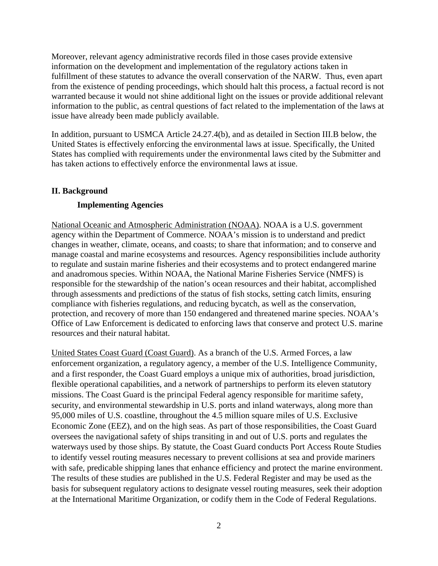Moreover, relevant agency administrative records filed in those cases provide extensive information on the development and implementation of the regulatory actions taken in fulfillment of these statutes to advance the overall conservation of the NARW. Thus, even apart from the existence of pending proceedings, which should halt this process, a factual record is not warranted because it would not shine additional light on the issues or provide additional relevant information to the public, as central questions of fact related to the implementation of the laws at issue have already been made publicly available.

In addition, pursuant to USMCA Article 24.27.4(b), and as detailed in Section III.B below, the United States is effectively enforcing the environmental laws at issue. Specifically, the United States has complied with requirements under the environmental laws cited by the Submitter and has taken actions to effectively enforce the environmental laws at issue.

#### <span id="page-3-0"></span>**II. Background**

#### **Implementing Agencies**

National Oceanic and Atmospheric Administration (NOAA). NOAA is a U.S. government agency within the Department of Commerce. NOAA's mission is to understand and predict changes in weather, climate, oceans, and coasts; to share that information; and to conserve and manage coastal and marine ecosystems and resources. Agency responsibilities include authority to regulate and sustain marine fisheries and their ecosystems and to protect endangered marine and anadromous species. Within NOAA, the National Marine Fisheries Service (NMFS) is responsible for the stewardship of the nation's ocean resources and their habitat, accomplished through assessments and predictions of the status of fish stocks, setting catch limits, ensuring compliance with fisheries regulations, and reducing bycatch, as well as the conservation, protection, and recovery of more than 150 endangered and threatened marine species. NOAA's Office of Law Enforcement is dedicated to enforcing laws that conserve and protect U.S. marine resources and their natural habitat.

United States Coast Guard (Coast Guard). As a branch of the U.S. Armed Forces, a law enforcement organization, a regulatory agency, a member of the U.S. Intelligence Community, and a first responder, the Coast Guard employs a unique mix of authorities, broad jurisdiction, flexible operational capabilities, and a network of partnerships to perform its eleven statutory missions. The Coast Guard is the principal Federal agency responsible for maritime safety, security, and environmental stewardship in U.S. ports and inland waterways, along more than 95,000 miles of U.S. coastline, throughout the 4.5 million square miles of U.S. Exclusive Economic Zone (EEZ), and on the high seas. As part of those responsibilities, the Coast Guard oversees the navigational safety of ships transiting in and out of U.S. ports and regulates the waterways used by those ships. By statute, the Coast Guard conducts Port Access Route Studies to identify vessel routing measures necessary to prevent collisions at sea and provide mariners with safe, predicable shipping lanes that enhance efficiency and protect the marine environment. The results of these studies are published in the U.S. Federal Register and may be used as the basis for subsequent regulatory actions to designate vessel routing measures, seek their adoption at the International Maritime Organization, or codify them in the Code of Federal Regulations.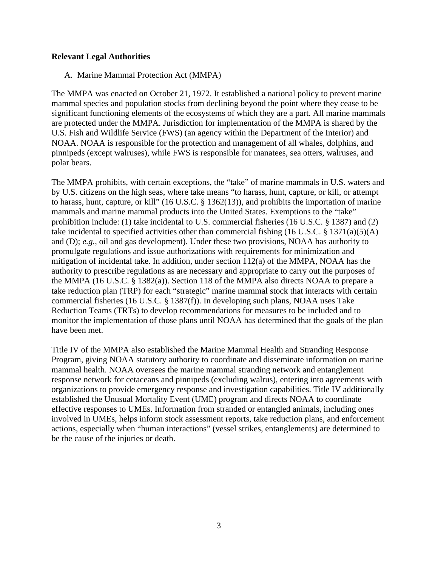#### <span id="page-4-1"></span><span id="page-4-0"></span>**Relevant Legal Authorities**

#### A. Marine Mammal Protection Act (MMPA)

The MMPA was enacted on October 21, 1972. It established a national policy to prevent marine mammal species and population stocks from declining beyond the point where they cease to be significant functioning elements of the ecosystems of which they are a part. All marine mammals are protected under the MMPA. Jurisdiction for implementation of the MMPA is shared by the U.S. Fish and Wildlife Service (FWS) (an agency within the Department of the Interior) and NOAA. NOAA is responsible for the protection and management of all whales, dolphins, and pinnipeds (except walruses), while FWS is responsible for manatees, sea otters, walruses, and polar bears.

The MMPA prohibits, with certain exceptions, the "take" of marine mammals in U.S. waters and by U.S. citizens on the high seas, where take means "to harass, hunt, capture, or kill, or attempt to harass, hunt, capture, or kill" (16 U.S.C. § 1362(13)), and prohibits the importation of marine mammals and marine mammal products into the United States. Exemptions to the "take" prohibition include: (1) take incidental to U.S. commercial fisheries (16 U.S.C. § 1387) and (2) take incidental to specified activities other than commercial fishing (16 U.S.C. § 1371(a)(5)(A) and (D); *e.g.*, oil and gas development). Under these two provisions, NOAA has authority to promulgate regulations and issue authorizations with requirements for minimization and mitigation of incidental take. In addition, under section 112(a) of the MMPA, NOAA has the authority to prescribe regulations as are necessary and appropriate to carry out the purposes of the MMPA (16 U.S.C. § 1382(a)). Section 118 of the MMPA also directs NOAA to prepare a take reduction plan (TRP) for each "strategic" marine mammal stock that interacts with certain commercial fisheries (16 U.S.C. § 1387(f)). In developing such plans, NOAA uses Take Reduction Teams (TRTs) to develop recommendations for measures to be included and to monitor the implementation of those plans until NOAA has determined that the goals of the plan have been met.

Title IV of the MMPA also established the Marine Mammal Health and Stranding Response Program, giving NOAA statutory authority to coordinate and disseminate information on marine mammal health. NOAA oversees the marine mammal stranding network and entanglement response network for cetaceans and pinnipeds (excluding walrus), entering into agreements with organizations to provide emergency response and investigation capabilities. Title IV additionally established the Unusual Mortality Event (UME) program and directs NOAA to coordinate effective responses to UMEs. Information from stranded or entangled animals, including ones involved in UMEs, helps inform stock assessment reports, take reduction plans, and enforcement actions, especially when "human interactions" (vessel strikes, entanglements) are determined to be the cause of the injuries or death.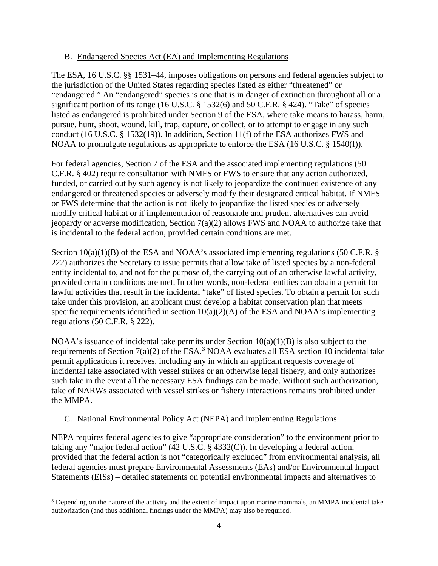#### <span id="page-5-0"></span>B. Endangered Species Act (EA) and Implementing Regulations

The ESA, 16 U.S.C. §§ 1531–44, imposes obligations on persons and federal agencies subject to the jurisdiction of the United States regarding species listed as either "threatened" or "endangered." An "endangered" species is one that is in danger of extinction throughout all or a significant portion of its range (16 U.S.C. § 1532(6) and 50 C.F.R. § 424). "Take" of species listed as endangered is prohibited under Section 9 of the ESA, where take means to harass, harm, pursue, hunt, shoot, wound, kill, trap, capture, or collect, or to attempt to engage in any such conduct (16 U.S.C. § 1532(19)). In addition, Section 11(f) of the ESA authorizes FWS and NOAA to promulgate regulations as appropriate to enforce the ESA (16 U.S.C. § 1540(f)).

For federal agencies, Section 7 of the ESA and the associated implementing regulations (50 C.F.R. § 402) require consultation with NMFS or FWS to ensure that any action authorized, funded, or carried out by such agency is not likely to jeopardize the continued existence of any endangered or threatened species or adversely modify their designated critical habitat. If NMFS or FWS determine that the action is not likely to jeopardize the listed species or adversely modify critical habitat or if implementation of reasonable and prudent alternatives can avoid jeopardy or adverse modification, Section 7(a)(2) allows FWS and NOAA to authorize take that is incidental to the federal action, provided certain conditions are met.

Section  $10(a)(1)(B)$  of the ESA and NOAA's associated implementing regulations (50 C.F.R. § 222) authorizes the Secretary to issue permits that allow take of listed species by a non-federal entity incidental to, and not for the purpose of, the carrying out of an otherwise lawful activity, provided certain conditions are met. In other words, non-federal entities can obtain a permit for lawful activities that result in the incidental "take" of listed species. To obtain a permit for such take under this provision, an applicant must develop a habitat conservation plan that meets specific requirements identified in section  $10(a)(2)(A)$  of the ESA and NOAA's implementing regulations (50 C.F.R. § 222).

NOAA's issuance of incidental take permits under Section  $10(a)(1)(B)$  is also subject to the requirements of Section  $7(a)(2)$  of the ESA.<sup>[3](#page-5-2)</sup> NOAA evaluates all ESA section 10 incidental take permit applications it receives, including any in which an applicant requests coverage of incidental take associated with vessel strikes or an otherwise legal fishery, and only authorizes such take in the event all the necessary ESA findings can be made. Without such authorization, take of NARWs associated with vessel strikes or fishery interactions remains prohibited under the MMPA.

## <span id="page-5-1"></span>C. National Environmental Policy Act (NEPA) and Implementing Regulations

NEPA requires federal agencies to give "appropriate consideration" to the environment prior to taking any "major federal action" (42 U.S.C. § 4332(C)). In developing a federal action, provided that the federal action is not "categorically excluded" from environmental analysis, all federal agencies must prepare Environmental Assessments (EAs) and/or Environmental Impact Statements (EISs) – detailed statements on potential environmental impacts and alternatives to

<span id="page-5-2"></span><sup>&</sup>lt;sup>3</sup> Depending on the nature of the activity and the extent of impact upon marine mammals, an MMPA incidental take authorization (and thus additional findings under the MMPA) may also be required.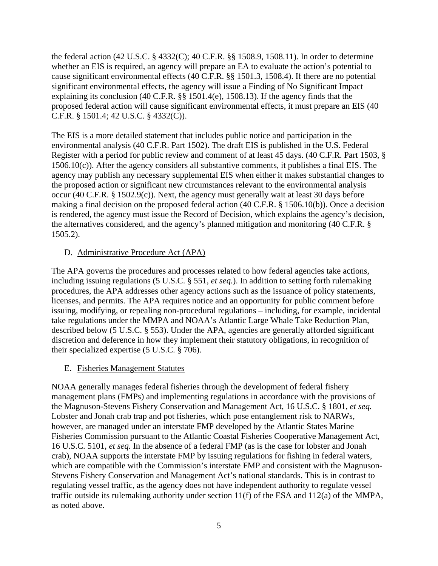the federal action (42 U.S.C. § 4332(C); 40 C.F.R. §§ 1508.9, 1508.11). In order to determine whether an EIS is required, an agency will prepare an EA to evaluate the action's potential to cause significant environmental effects (40 C.F.R. §§ 1501.3, 1508.4). If there are no potential significant environmental effects, the agency will issue a Finding of No Significant Impact explaining its conclusion (40 C.F.R. §§ 1501.4(e), 1508.13). If the agency finds that the proposed federal action will cause significant environmental effects, it must prepare an EIS (40 C.F.R. § 1501.4; 42 U.S.C. § 4332(C)).

The EIS is a more detailed statement that includes public notice and participation in the environmental analysis (40 C.F.R. Part 1502). The draft EIS is published in the U.S. Federal Register with a period for public review and comment of at least 45 days. (40 C.F.R. Part 1503, § 1506.10(c)). After the agency considers all substantive comments, it publishes a final EIS. The agency may publish any necessary supplemental EIS when either it makes substantial changes to the proposed action or significant new circumstances relevant to the environmental analysis occur (40 C.F.R. § 1502.9(c)). Next, the agency must generally wait at least 30 days before making a final decision on the proposed federal action (40 C.F.R. § 1506.10(b)). Once a decision is rendered, the agency must issue the Record of Decision, which explains the agency's decision, the alternatives considered, and the agency's planned mitigation and monitoring (40 C.F.R. § 1505.2).

#### <span id="page-6-0"></span>D. Administrative Procedure Act (APA)

The APA governs the procedures and processes related to how federal agencies take actions, including issuing regulations (5 U.S.C. § 551, *et seq.*). In addition to setting forth rulemaking procedures, the APA addresses other agency actions such as the issuance of policy statements, licenses, and permits. The APA requires notice and an opportunity for public comment before issuing, modifying, or repealing non-procedural regulations – including, for example, incidental take regulations under the MMPA and NOAA's Atlantic Large Whale Take Reduction Plan, described below (5 U.S.C. § 553). Under the APA, agencies are generally afforded significant discretion and deference in how they implement their statutory obligations, in recognition of their specialized expertise (5 U.S.C. § 706).

#### <span id="page-6-1"></span>E. Fisheries Management Statutes

NOAA generally manages federal fisheries through the development of federal fishery management plans (FMPs) and implementing regulations in accordance with the provisions of the Magnuson-Stevens Fishery Conservation and Management Act, 16 U.S.C. § 1801, *et seq.*  Lobster and Jonah crab trap and pot fisheries, which pose entanglement risk to NARWs, however, are managed under an interstate FMP developed by the Atlantic States Marine Fisheries Commission pursuant to the Atlantic Coastal Fisheries Cooperative Management Act, 16 U.S.C. 5101, *et seq.* In the absence of a federal FMP (as is the case for lobster and Jonah crab), NOAA supports the interstate FMP by issuing regulations for fishing in federal waters, which are compatible with the Commission's interstate FMP and consistent with the Magnuson-Stevens Fishery Conservation and Management Act's national standards. This is in contrast to regulating vessel traffic, as the agency does not have independent authority to regulate vessel traffic outside its rulemaking authority under section 11(f) of the ESA and 112(a) of the MMPA, as noted above.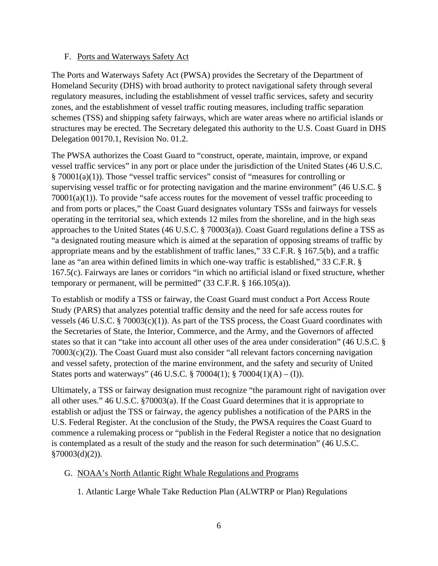#### <span id="page-7-0"></span>F. Ports and Waterways Safety Act

The Ports and Waterways Safety Act (PWSA) provides the Secretary of the Department of Homeland Security (DHS) with broad authority to protect navigational safety through several regulatory measures, including the establishment of vessel traffic services, safety and security zones, and the establishment of vessel traffic routing measures, including traffic separation schemes (TSS) and shipping safety fairways, which are water areas where no artificial islands or structures may be erected. The Secretary delegated this authority to the U.S. Coast Guard in DHS Delegation 00170.1, Revision No. 01.2.

The PWSA authorizes the Coast Guard to "construct, operate, maintain, improve, or expand vessel traffic services" in any port or place under the jurisdiction of the United States (46 U.S.C. § 70001(a)(1)). Those "vessel traffic services" consist of "measures for controlling or supervising vessel traffic or for protecting navigation and the marine environment" (46 U.S.C. § 70001(a)(1)). To provide "safe access routes for the movement of vessel traffic proceeding to and from ports or places," the Coast Guard designates voluntary TSSs and fairways for vessels operating in the territorial sea, which extends 12 miles from the shoreline, and in the high seas approaches to the United States (46 U.S.C. § 70003(a)). Coast Guard regulations define a TSS as "a designated routing measure which is aimed at the separation of opposing streams of traffic by appropriate means and by the establishment of traffic lanes," 33 C.F.R. § 167.5(b), and a traffic lane as "an area within defined limits in which one-way traffic is established," 33 C.F.R. § 167.5(c). Fairways are lanes or corridors "in which no artificial island or fixed structure, whether temporary or permanent, will be permitted"  $(33 \text{ C.F.R. } § 166.105(a))$ .

To establish or modify a TSS or fairway, the Coast Guard must conduct a Port Access Route Study (PARS) that analyzes potential traffic density and the need for safe access routes for vessels (46 U.S.C. § 70003(c)(1)). As part of the TSS process, the Coast Guard coordinates with the Secretaries of State, the Interior, Commerce, and the Army, and the Governors of affected states so that it can "take into account all other uses of the area under consideration" (46 U.S.C. § 70003(c)(2)). The Coast Guard must also consider "all relevant factors concerning navigation and vessel safety, protection of the marine environment, and the safety and security of United States ports and waterways" (46 U.S.C. § 70004(1); § 70004(1)(A) – (I)).

Ultimately, a TSS or fairway designation must recognize "the paramount right of navigation over all other uses." 46 U.S.C. §70003(a). If the Coast Guard determines that it is appropriate to establish or adjust the TSS or fairway, the agency publishes a notification of the PARS in the U.S. Federal Register. At the conclusion of the Study, the PWSA requires the Coast Guard to commence a rulemaking process or "publish in the Federal Register a notice that no designation is contemplated as a result of the study and the reason for such determination" (46 U.S.C. §70003(d)(2)).

## <span id="page-7-1"></span>G. NOAA's North Atlantic Right Whale Regulations and Programs

1. Atlantic Large Whale Take Reduction Plan (ALWTRP or Plan) Regulations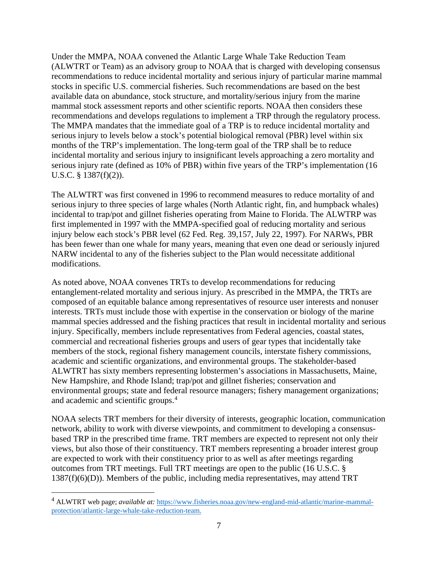Under the MMPA, NOAA convened the Atlantic Large Whale Take Reduction Team (ALWTRT or Team) as an advisory group to NOAA that is charged with developing consensus recommendations to reduce incidental mortality and serious injury of particular marine mammal stocks in specific U.S. commercial fisheries. Such recommendations are based on the best available data on abundance, stock structure, and mortality/serious injury from the marine mammal stock assessment reports and other scientific reports. NOAA then considers these recommendations and develops regulations to implement a TRP through the regulatory process. The MMPA mandates that the immediate goal of a TRP is to reduce incidental mortality and serious injury to levels below a stock's potential biological removal (PBR) level within six months of the TRP's implementation. The long-term goal of the TRP shall be to reduce incidental mortality and serious injury to insignificant levels approaching a zero mortality and serious injury rate (defined as 10% of PBR) within five years of the TRP's implementation (16 U.S.C. § 1387(f)(2)).

The ALWTRT was first convened in 1996 to recommend measures to reduce mortality of and serious injury to three species of large whales (North Atlantic right, fin, and humpback whales) incidental to trap/pot and gillnet fisheries operating from Maine to Florida. The ALWTRP was first implemented in 1997 with the MMPA-specified goal of reducing mortality and serious injury below each stock's PBR level (62 Fed. Reg. 39,157, July 22, 1997). For NARWs, PBR has been fewer than one whale for many years, meaning that even one dead or seriously injured NARW incidental to any of the fisheries subject to the Plan would necessitate additional modifications.

As noted above, NOAA convenes TRTs to develop recommendations for reducing entanglement-related mortality and serious injury. As prescribed in the MMPA, the TRTs are composed of an equitable balance among representatives of resource user interests and nonuser interests. TRTs must include those with expertise in the conservation or biology of the marine mammal species addressed and the fishing practices that result in incidental mortality and serious injury. Specifically, members include representatives from Federal agencies, coastal states, commercial and recreational fisheries groups and users of gear types that incidentally take members of the stock, regional fishery management councils, interstate fishery commissions, academic and scientific organizations, and environmental groups. The stakeholder-based ALWTRT has sixty members representing lobstermen's associations in Massachusetts, Maine, New Hampshire, and Rhode Island; trap/pot and gillnet fisheries; conservation and environmental groups; state and federal resource managers; fishery management organizations; and academic and scientific groups.[4](#page-8-0)

NOAA selects TRT members for their diversity of interests, geographic location, communication network, ability to work with diverse viewpoints, and commitment to developing a consensusbased TRP in the prescribed time frame. TRT members are expected to represent not only their views, but also those of their constituency. TRT members representing a broader interest group are expected to work with their constituency prior to as well as after meetings regarding outcomes from TRT meetings. Full TRT meetings are open to the public (16 U.S.C. § 1387(f)(6)(D)). Members of the public, including media representatives, may attend TRT

<span id="page-8-0"></span><sup>4</sup> ALWTRT web page; *available at:* [https://www.fisheries.noaa.gov/new-england-mid-atlantic/marine-mammal](https://www.fisheries.noaa.gov/new-england-mid-atlantic/marine-mammal-protection/atlantic-large-whale-take-reduction-team)[protection/atlantic-large-whale-take-reduction-team.](https://www.fisheries.noaa.gov/new-england-mid-atlantic/marine-mammal-protection/atlantic-large-whale-take-reduction-team)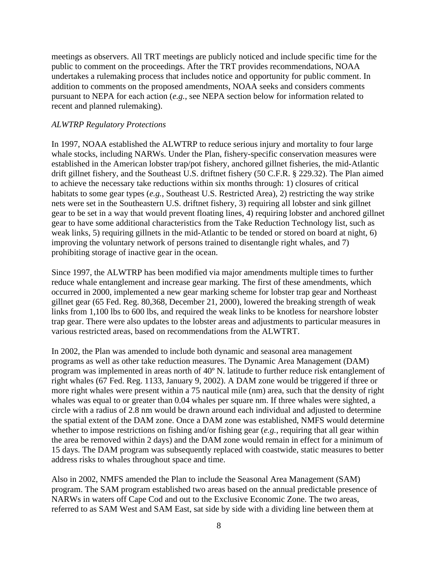meetings as observers. All TRT meetings are publicly noticed and include specific time for the public to comment on the proceedings. After the TRT provides recommendations, NOAA undertakes a rulemaking process that includes notice and opportunity for public comment. In addition to comments on the proposed amendments, NOAA seeks and considers comments pursuant to NEPA for each action (*e.g.*, see NEPA section below for information related to recent and planned rulemaking).

#### *ALWTRP Regulatory Protections*

In 1997, NOAA established the ALWTRP to reduce serious injury and mortality to four large whale stocks, including NARWs. Under the Plan, fishery-specific conservation measures were established in the American lobster trap/pot fishery, anchored gillnet fisheries, the mid-Atlantic drift gillnet fishery, and the Southeast U.S. driftnet fishery (50 C.F.R. § 229.32). The Plan aimed to achieve the necessary take reductions within six months through: 1) closures of critical habitats to some gear types (*e.g.*, Southeast U.S. Restricted Area), 2) restricting the way strike nets were set in the Southeastern U.S. driftnet fishery, 3) requiring all lobster and sink gillnet gear to be set in a way that would prevent floating lines, 4) requiring lobster and anchored gillnet gear to have some additional characteristics from the Take Reduction Technology list, such as weak links, 5) requiring gillnets in the mid-Atlantic to be tended or stored on board at night, 6) improving the voluntary network of persons trained to disentangle right whales, and 7) prohibiting storage of inactive gear in the ocean.

Since 1997, the ALWTRP has been modified via major amendments multiple times to further reduce whale entanglement and increase gear marking. The first of these amendments, which occurred in 2000, implemented a new gear marking scheme for lobster trap gear and Northeast gillnet gear (65 Fed. Reg. 80,368, December 21, 2000), lowered the breaking strength of weak links from 1,100 lbs to 600 lbs, and required the weak links to be knotless for nearshore lobster trap gear. There were also updates to the lobster areas and adjustments to particular measures in various restricted areas, based on recommendations from the ALWTRT.

In 2002, the Plan was amended to include both dynamic and seasonal area management programs as well as other take reduction measures. The Dynamic Area Management (DAM) program was implemented in areas north of 40º N. latitude to further reduce risk entanglement of right whales (67 Fed. Reg. 1133, January 9, 2002). A DAM zone would be triggered if three or more right whales were present within a 75 nautical mile (nm) area, such that the density of right whales was equal to or greater than 0.04 whales per square nm. If three whales were sighted, a circle with a radius of 2.8 nm would be drawn around each individual and adjusted to determine the spatial extent of the DAM zone. Once a DAM zone was established, NMFS would determine whether to impose restrictions on fishing and/or fishing gear (*e.g.*, requiring that all gear within the area be removed within 2 days) and the DAM zone would remain in effect for a minimum of 15 days. The DAM program was subsequently replaced with coastwide, static measures to better address risks to whales throughout space and time.

Also in 2002, NMFS amended the Plan to include the Seasonal Area Management (SAM) program. The SAM program established two areas based on the annual predictable presence of NARWs in waters off Cape Cod and out to the Exclusive Economic Zone. The two areas, referred to as SAM West and SAM East, sat side by side with a dividing line between them at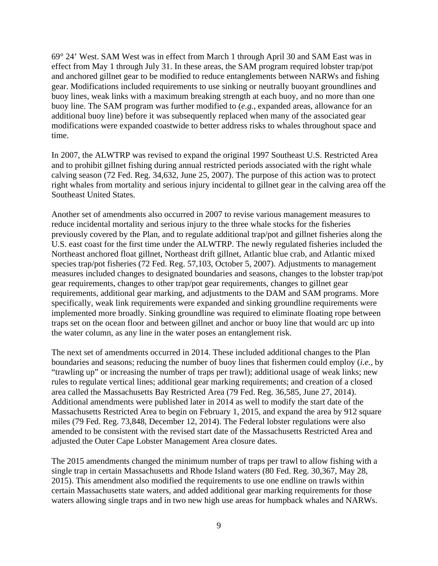69° 24' West. SAM West was in effect from March 1 through April 30 and SAM East was in effect from May 1 through July 31. In these areas, the SAM program required lobster trap/pot and anchored gillnet gear to be modified to reduce entanglements between NARWs and fishing gear. Modifications included requirements to use sinking or neutrally buoyant groundlines and buoy lines, weak links with a maximum breaking strength at each buoy, and no more than one buoy line. The SAM program was further modified to (*e.g.*, expanded areas, allowance for an additional buoy line) before it was subsequently replaced when many of the associated gear modifications were expanded coastwide to better address risks to whales throughout space and time.

In 2007, the ALWTRP was revised to expand the original 1997 Southeast U.S. Restricted Area and to prohibit gillnet fishing during annual restricted periods associated with the right whale calving season (72 Fed. Reg. 34,632, June 25, 2007). The purpose of this action was to protect right whales from mortality and serious injury incidental to gillnet gear in the calving area off the Southeast United States.

Another set of amendments also occurred in 2007 to revise various management measures to reduce incidental mortality and serious injury to the three whale stocks for the fisheries previously covered by the Plan, and to regulate additional trap/pot and gillnet fisheries along the U.S. east coast for the first time under the ALWTRP. The newly regulated fisheries included the Northeast anchored float gillnet, Northeast drift gillnet, Atlantic blue crab, and Atlantic mixed species trap/pot fisheries (72 Fed. Reg. 57,103, October 5, 2007). Adjustments to management measures included changes to designated boundaries and seasons, changes to the lobster trap/pot gear requirements, changes to other trap/pot gear requirements, changes to gillnet gear requirements, additional gear marking, and adjustments to the DAM and SAM programs. More specifically, weak link requirements were expanded and sinking groundline requirements were implemented more broadly. Sinking groundline was required to eliminate floating rope between traps set on the ocean floor and between gillnet and anchor or buoy line that would arc up into the water column, as any line in the water poses an entanglement risk.

The next set of amendments occurred in 2014. These included additional changes to the Plan boundaries and seasons; reducing the number of buoy lines that fishermen could employ (*i.e.*, by "trawling up" or increasing the number of traps per trawl); additional usage of weak links; new rules to regulate vertical lines; additional gear marking requirements; and creation of a closed area called the Massachusetts Bay Restricted Area (79 Fed. Reg. 36,585, June 27, 2014). Additional amendments were published later in 2014 as well to modify the start date of the Massachusetts Restricted Area to begin on February 1, 2015, and expand the area by 912 square miles (79 Fed. Reg. 73,848, December 12, 2014). The Federal lobster regulations were also amended to be consistent with the revised start date of the Massachusetts Restricted Area and adjusted the Outer Cape Lobster Management Area closure dates.

The 2015 amendments changed the minimum number of traps per trawl to allow fishing with a single trap in certain Massachusetts and Rhode Island waters (80 Fed. Reg. 30,367, May 28, 2015). This amendment also modified the requirements to use one endline on trawls within certain Massachusetts state waters, and added additional gear marking requirements for those waters allowing single traps and in two new high use areas for humpback whales and NARWs.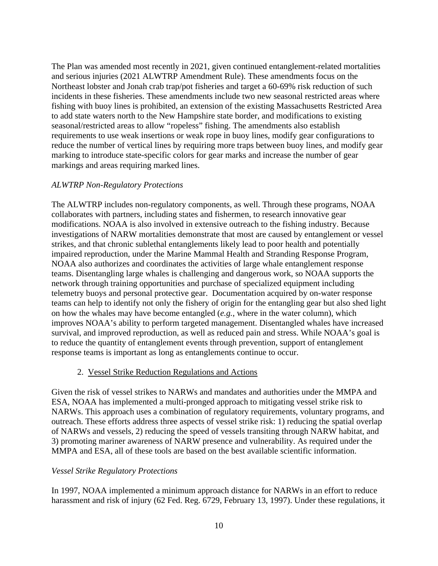The Plan was amended most recently in 2021, given continued entanglement-related mortalities and serious injuries (2021 ALWTRP Amendment Rule). These amendments focus on the Northeast lobster and Jonah crab trap/pot fisheries and target a 60-69% risk reduction of such incidents in these fisheries. These amendments include two new seasonal restricted areas where fishing with buoy lines is prohibited, an extension of the existing Massachusetts Restricted Area to add state waters north to the New Hampshire state border, and modifications to existing seasonal/restricted areas to allow "ropeless" fishing. The amendments also establish requirements to use weak insertions or weak rope in buoy lines, modify gear configurations to reduce the number of vertical lines by requiring more traps between buoy lines, and modify gear marking to introduce state-specific colors for gear marks and increase the number of gear markings and areas requiring marked lines.

#### *ALWTRP Non-Regulatory Protections*

The ALWTRP includes non-regulatory components, as well. Through these programs, NOAA collaborates with partners, including states and fishermen, to research innovative gear modifications. NOAA is also involved in extensive outreach to the fishing industry. Because investigations of NARW mortalities demonstrate that most are caused by entanglement or vessel strikes, and that chronic sublethal entanglements likely lead to poor health and potentially impaired reproduction, under the Marine Mammal Health and Stranding Response Program, NOAA also authorizes and coordinates the activities of large whale entanglement response teams. Disentangling large whales is challenging and dangerous work, so NOAA supports the network through training opportunities and purchase of specialized equipment including telemetry buoys and personal protective gear. Documentation acquired by on-water response teams can help to identify not only the fishery of origin for the entangling gear but also shed light on how the whales may have become entangled (*e.g.*, where in the water column), which improves NOAA's ability to perform targeted management. Disentangled whales have increased survival, and improved reproduction, as well as reduced pain and stress. While NOAA's goal is to reduce the quantity of entanglement events through prevention, support of entanglement response teams is important as long as entanglements continue to occur.

#### 2. Vessel Strike Reduction Regulations and Actions

Given the risk of vessel strikes to NARWs and mandates and authorities under the MMPA and ESA, NOAA has implemented a multi-pronged approach to mitigating vessel strike risk to NARWs. This approach uses a combination of regulatory requirements, voluntary programs, and outreach. These efforts address three aspects of vessel strike risk: 1) reducing the spatial overlap of NARWs and vessels, 2) reducing the speed of vessels transiting through NARW habitat, and 3) promoting mariner awareness of NARW presence and vulnerability. As required under the MMPA and ESA, all of these tools are based on the best available scientific information.

#### *Vessel Strike Regulatory Protections*

In 1997, NOAA implemented a minimum approach distance for NARWs in an effort to reduce harassment and risk of injury (62 Fed. Reg. 6729, February 13, 1997). Under these regulations, it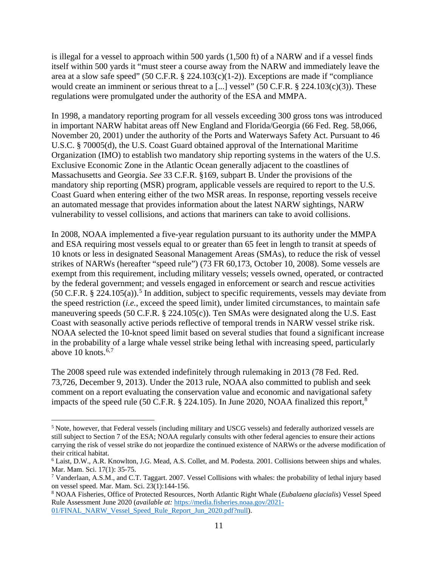is illegal for a vessel to approach within 500 yards (1,500 ft) of a NARW and if a vessel finds itself within 500 yards it "must steer a course away from the NARW and immediately leave the area at a slow safe speed" (50 C.F.R. § 224.103(c)(1-2)). Exceptions are made if "compliance would create an imminent or serious threat to a [...] vessel" (50 C.F.R. § 224.103(c)(3)). These regulations were promulgated under the authority of the ESA and MMPA.

In 1998, a mandatory reporting program for all vessels exceeding 300 gross tons was introduced in important NARW habitat areas off New England and Florida/Georgia (66 Fed. Reg. 58,066, November 20, 2001) under the authority of the Ports and Waterways Safety Act. Pursuant to 46 U.S.C. § 70005(d), the U.S. Coast Guard obtained approval of the International Maritime Organization (IMO) to establish two mandatory ship reporting systems in the waters of the U.S. Exclusive Economic Zone in the Atlantic Ocean generally adjacent to the coastlines of Massachusetts and Georgia. *See* 33 C.F.R. §169, subpart B. Under the provisions of the mandatory ship reporting (MSR) program, applicable vessels are required to report to the U.S. Coast Guard when entering either of the two MSR areas. In response, reporting vessels receive an automated message that provides information about the latest NARW sightings, NARW vulnerability to vessel collisions, and actions that mariners can take to avoid collisions.

In 2008, NOAA implemented a five-year regulation pursuant to its authority under the MMPA and ESA requiring most vessels equal to or greater than 65 feet in length to transit at speeds of 10 knots or less in designated Seasonal Management Areas (SMAs), to reduce the risk of vessel strikes of NARWs (hereafter "speed rule") (73 FR 60,173, October 10, 2008). Some vessels are exempt from this requirement, including military vessels; vessels owned, operated, or contracted by the federal government; and vessels engaged in enforcement or search and rescue activities  $(50 \text{ C.F.R. } § 224.105(a))$  $(50 \text{ C.F.R. } § 224.105(a))$  $(50 \text{ C.F.R. } § 224.105(a))$ .<sup>5</sup> In addition, subject to specific requirements, vessels may deviate from the speed restriction (*i.e.*, exceed the speed limit), under limited circumstances, to maintain safe maneuvering speeds (50 C.F.R. § 224.105(c)). Ten SMAs were designated along the U.S. East Coast with seasonally active periods reflective of temporal trends in NARW vessel strike risk. NOAA selected the 10-knot speed limit based on several studies that found a significant increase in the probability of a large whale vessel strike being lethal with increasing speed, particularly above 10 knots. $6,7$  $6,7$  $6,7$ 

The 2008 speed rule was extended indefinitely through rulemaking in 2013 (78 Fed. Red. 73,726, December 9, 2013). Under the 2013 rule, NOAA also committed to publish and seek comment on a report evaluating the conservation value and economic and navigational safety impacts of the speed rule (50 C.F.R.  $\S$  224.105). In June 2020, NOAA finalized this report,  $\S$ 

<span id="page-12-0"></span><sup>5</sup> Note, however, that Federal vessels (including military and USCG vessels) and federally authorized vessels are still subject to Section 7 of the ESA; NOAA regularly consults with other federal agencies to ensure their actions carrying the risk of vessel strike do not jeopardize the continued existence of NARWs or the adverse modification of their critical habitat.

<span id="page-12-1"></span><sup>6</sup> Laist, D.W., A.R. Knowlton, J.G. Mead, A.S. Collet, and M. Podesta. 2001. Collisions between ships and whales. Mar. Mam. Sci. 17(1): 35-75.

<span id="page-12-2"></span><sup>7</sup> Vanderlaan, A.S.M., and C.T. Taggart. 2007. Vessel Collisions with whales: the probability of lethal injury based on vessel speed. Mar. Mam. Sci. 23(1):144-156.

<span id="page-12-3"></span><sup>8</sup> NOAA Fisheries, Office of Protected Resources, North Atlantic Right Whale (*Eubalaena glacialis*) Vessel Speed Rule Assessment June 2020 (*available at:* [https://media.fisheries.noaa.gov/2021-](https://media.fisheries.noaa.gov/2021-01/FINAL_NARW_Vessel_Speed_Rule_Report_Jun_2020.pdf?null) [01/FINAL\\_NARW\\_Vessel\\_Speed\\_Rule\\_Report\\_Jun\\_2020.pdf?null\)](https://media.fisheries.noaa.gov/2021-01/FINAL_NARW_Vessel_Speed_Rule_Report_Jun_2020.pdf?null).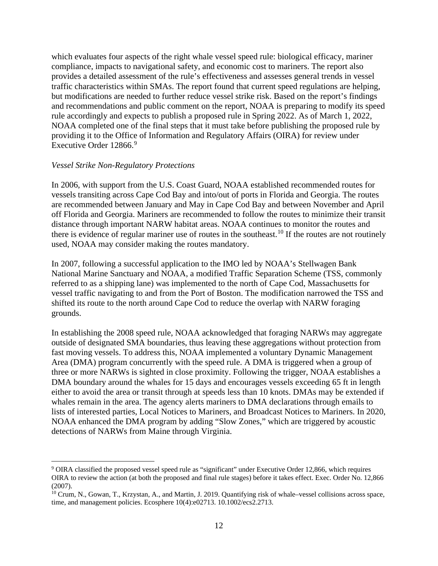which evaluates four aspects of the right whale vessel speed rule: biological efficacy, mariner compliance, impacts to navigational safety, and economic cost to mariners. The report also provides a detailed assessment of the rule's effectiveness and assesses general trends in vessel traffic characteristics within SMAs. The report found that current speed regulations are helping, but modifications are needed to further reduce vessel strike risk. Based on the report's findings and recommendations and public comment on the report, NOAA is preparing to modify its speed rule accordingly and expects to publish a proposed rule in Spring 2022. As of March 1, 2022, NOAA completed one of the final steps that it must take before publishing the proposed rule by providing it to the Office of Information and Regulatory Affairs (OIRA) for review under Executive Order 12866.<sup>[9](#page-13-0)</sup>

#### *Vessel Strike Non-Regulatory Protections*

In 2006, with support from the U.S. Coast Guard, NOAA established recommended routes for vessels transiting across Cape Cod Bay and into/out of ports in Florida and Georgia. The routes are recommended between January and May in Cape Cod Bay and between November and April off Florida and Georgia. Mariners are recommended to follow the routes to minimize their transit distance through important NARW habitat areas. NOAA continues to monitor the routes and there is evidence of regular mariner use of routes in the southeast.<sup>[10](#page-13-1)</sup> If the routes are not routinely used, NOAA may consider making the routes mandatory.

In 2007, following a successful application to the IMO led by NOAA's Stellwagen Bank National Marine Sanctuary and NOAA, a modified Traffic Separation Scheme (TSS, commonly referred to as a shipping lane) was implemented to the north of Cape Cod, Massachusetts for vessel traffic navigating to and from the Port of Boston. The modification narrowed the TSS and shifted its route to the north around Cape Cod to reduce the overlap with NARW foraging grounds.

In establishing the 2008 speed rule, NOAA acknowledged that foraging NARWs may aggregate outside of designated SMA boundaries, thus leaving these aggregations without protection from fast moving vessels. To address this, NOAA implemented a voluntary Dynamic Management Area (DMA) program concurrently with the speed rule. A DMA is triggered when a group of three or more NARWs is sighted in close proximity. Following the trigger, NOAA establishes a DMA boundary around the whales for 15 days and encourages vessels exceeding 65 ft in length either to avoid the area or transit through at speeds less than 10 knots. DMAs may be extended if whales remain in the area. The agency alerts mariners to DMA declarations through emails to lists of interested parties, Local Notices to Mariners, and Broadcast Notices to Mariners. In 2020, NOAA enhanced the DMA program by adding "Slow Zones," which are triggered by acoustic detections of NARWs from Maine through Virginia.

<span id="page-13-0"></span><sup>9</sup> OIRA classified the proposed vessel speed rule as "significant" under Executive Order 12,866, which requires OIRA to review the action (at both the proposed and final rule stages) before it takes effect. Exec. Order No. 12,866 (2007).

<span id="page-13-1"></span><sup>10</sup> Crum, N., Gowan, T., Krzystan, A., and Martin, J. 2019. Quantifying risk of whale–vessel collisions across space, time, and management policies. Ecosphere 10(4):e02713. 10.1002/ecs2.2713.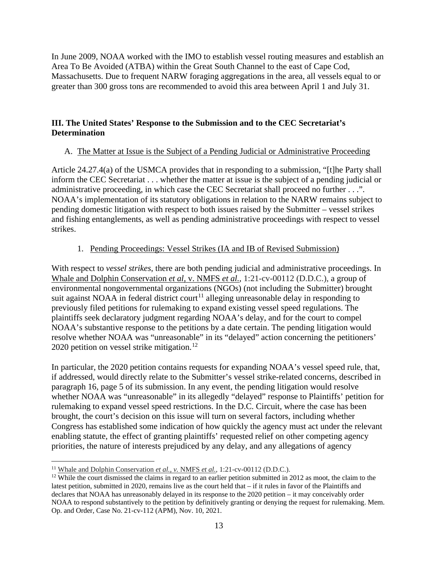In June 2009, NOAA worked with the IMO to establish vessel routing measures and establish an Area To Be Avoided (ATBA) within the Great South Channel to the east of Cape Cod, Massachusetts. Due to frequent NARW foraging aggregations in the area, all vessels equal to or greater than 300 gross tons are recommended to avoid this area between April 1 and July 31.

## <span id="page-14-0"></span>**III. The United States' Response to the Submission and to the CEC Secretariat's Determination**

## <span id="page-14-1"></span>A. The Matter at Issue is the Subject of a Pending Judicial or Administrative Proceeding

Article 24.27.4(a) of the USMCA provides that in responding to a submission, "[t]he Party shall inform the CEC Secretariat . . . whether the matter at issue is the subject of a pending judicial or administrative proceeding, in which case the CEC Secretariat shall proceed no further . . .". NOAA's implementation of its statutory obligations in relation to the NARW remains subject to pending domestic litigation with respect to both issues raised by the Submitter – vessel strikes and fishing entanglements, as well as pending administrative proceedings with respect to vessel strikes.

## 1. Pending Proceedings: Vessel Strikes (IA and IB of Revised Submission)

With respect to *vessel strikes*, there are both pending judicial and administrative proceedings. In Whale and Dolphin Conservation *et al,* v. NMFS *et al.,* 1:21-cv-00112 (D.D.C.), a group of environmental nongovernmental organizations (NGOs) (not including the Submitter) brought suit against NOAA in federal district court<sup>[11](#page-14-2)</sup> alleging unreasonable delay in responding to previously filed petitions for rulemaking to expand existing vessel speed regulations. The plaintiffs seek declaratory judgment regarding NOAA's delay, and for the court to compel NOAA's substantive response to the petitions by a date certain. The pending litigation would resolve whether NOAA was "unreasonable" in its "delayed" action concerning the petitioners' 2020 petition on vessel strike mitigation.<sup>12</sup>

In particular, the 2020 petition contains requests for expanding NOAA's vessel speed rule, that, if addressed, would directly relate to the Submitter's vessel strike-related concerns, described in paragraph 16, page 5 of its submission. In any event, the pending litigation would resolve whether NOAA was "unreasonable" in its allegedly "delayed" response to Plaintiffs' petition for rulemaking to expand vessel speed restrictions. In the D.C. Circuit, where the case has been brought, the court's decision on this issue will turn on several factors, including whether Congress has established some indication of how quickly the agency must act under the relevant enabling statute, the effect of granting plaintiffs' requested relief on other competing agency priorities, the nature of interests prejudiced by any delay, and any allegations of agency

<span id="page-14-2"></span><sup>11</sup> Whale and Dolphin Conservation *et al., v.* NMFS *et al.*, 1:21-cv-00112 (D.D.C.).

<span id="page-14-3"></span> $12$  While the court dismissed the claims in regard to an earlier petition submitted in 2012 as moot, the claim to the latest petition, submitted in 2020, remains live as the court held that – if it rules in favor of the Plaintiffs and declares that NOAA has unreasonably delayed in its response to the 2020 petition – it may conceivably order NOAA to respond substantively to the petition by definitively granting or denying the request for rulemaking. Mem. Op. and Order, Case No. 21-cv-112 (APM), Nov. 10, 2021.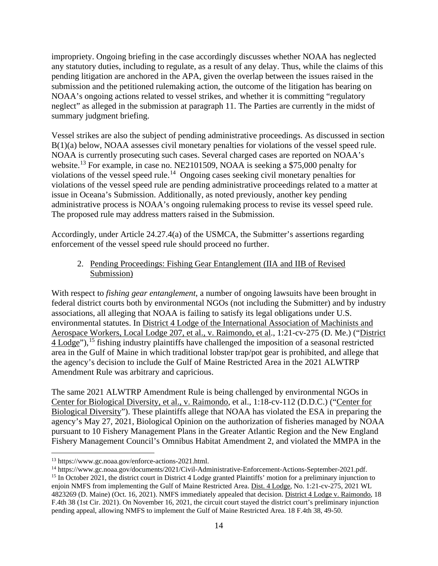impropriety. Ongoing briefing in the case accordingly discusses whether NOAA has neglected any statutory duties, including to regulate, as a result of any delay. Thus, while the claims of this pending litigation are anchored in the APA, given the overlap between the issues raised in the submission and the petitioned rulemaking action, the outcome of the litigation has bearing on NOAA's ongoing actions related to vessel strikes, and whether it is committing "regulatory neglect" as alleged in the submission at paragraph 11. The Parties are currently in the midst of summary judgment briefing.

Vessel strikes are also the subject of pending administrative proceedings. As discussed in section B(1)(a) below, NOAA assesses civil monetary penalties for violations of the vessel speed rule. NOAA is currently prosecuting such cases. Several charged cases are reported on NOAA's website.<sup>[13](#page-15-0)</sup> For example, in case no. NE2101509, NOAA is seeking a \$75,000 penalty for violations of the vessel speed rule.<sup>14</sup> Ongoing cases seeking civil monetary penalties for violations of the vessel speed rule are pending administrative proceedings related to a matter at issue in Oceana's Submission. Additionally, as noted previously, another key pending administrative process is NOAA's ongoing rulemaking process to revise its vessel speed rule. The proposed rule may address matters raised in the Submission.

Accordingly, under Article 24.27.4(a) of the USMCA, the Submitter's assertions regarding enforcement of the vessel speed rule should proceed no further.

## 2. Pending Proceedings: Fishing Gear Entanglement (IIA and IIB of Revised Submission)

With respect to *fishing gear entanglement*, a number of ongoing lawsuits have been brought in federal district courts both by environmental NGOs (not including the Submitter) and by industry associations, all alleging that NOAA is failing to satisfy its legal obligations under U.S. environmental statutes. In District 4 Lodge of the International Association of Machinists and Aerospace Workers, Local Lodge 207, et al., v. Raimondo, et al., 1:21-cv-275 (D. Me.) ("District 4 Lodge"),[15](#page-15-2) fishing industry plaintiffs have challenged the imposition of a seasonal restricted area in the Gulf of Maine in which traditional lobster trap/pot gear is prohibited, and allege that the agency's decision to include the Gulf of Maine Restricted Area in the 2021 ALWTRP Amendment Rule was arbitrary and capricious.

The same 2021 ALWTRP Amendment Rule is being challenged by environmental NGOs in Center for Biological Diversity, et al., v. Raimondo, et al., 1:18-cv-112 (D.D.C.) ("Center for Biological Diversity"). These plaintiffs allege that NOAA has violated the ESA in preparing the agency's May 27, 2021, Biological Opinion on the authorization of fisheries managed by NOAA pursuant to 10 Fishery Management Plans in the Greater Atlantic Region and the New England Fishery Management Council's Omnibus Habitat Amendment 2, and violated the MMPA in the

<span id="page-15-0"></span><sup>13</sup> [https://www.gc.noaa.gov/enforce-actions-2021.html.](https://www.gc.noaa.gov/enforce-actions-2021.html)

<span id="page-15-1"></span><sup>14</sup> [https://www.gc.noaa.gov/documents/2021/Civil-Administrative-Enforcement-Actions-September-2021.pdf.](https://www.gc.noaa.gov/documents/2021/Civil-Administrative-Enforcement-Actions-September-2021.pdf)

<span id="page-15-2"></span><sup>&</sup>lt;sup>15</sup> In October 2021, the district court in District 4 Lodge granted Plaintiffs' motion for a preliminary injunction to enjoin NMFS from implementing the Gulf of Maine Restricted Area. Dist. 4 Lodge, No. 1:21-cv-275, 2021 WL 4823269 (D. Maine) (Oct. 16, 2021). NMFS immediately appealed that decision. District 4 Lodge v. Raimondo, 18 F.4th 38 (1st Cir. 2021). On November 16, 2021, the circuit court stayed the district court's preliminary injunction pending appeal, allowing NMFS to implement the Gulf of Maine Restricted Area. 18 F.4th 38, 49-50.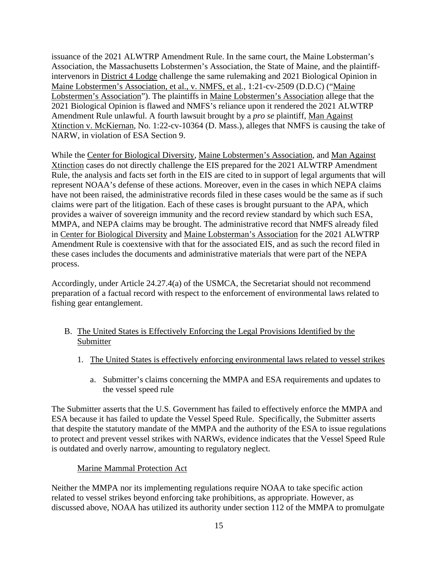issuance of the 2021 ALWTRP Amendment Rule. In the same court, the Maine Lobsterman's Association, the Massachusetts Lobstermen's Association, the State of Maine, and the plaintiffintervenors in District 4 Lodge challenge the same rulemaking and 2021 Biological Opinion in Maine Lobstermen's Association, et al., v. NMFS, et al*.*, 1:21-cv-2509 (D.D.C) ("Maine Lobstermen's Association"). The plaintiffs in Maine Lobstermen's Association allege that the 2021 Biological Opinion is flawed and NMFS's reliance upon it rendered the 2021 ALWTRP Amendment Rule unlawful. A fourth lawsuit brought by a *pro se* plaintiff, Man Against Xtinction v. McKiernan, No. 1:22-cv-10364 (D. Mass.), alleges that NMFS is causing the take of NARW, in violation of ESA Section 9.

While the Center for Biological Diversity, Maine Lobstermen's Association, and Man Against Xtinction cases do not directly challenge the EIS prepared for the 2021 ALWTRP Amendment Rule, the analysis and facts set forth in the EIS are cited to in support of legal arguments that will represent NOAA's defense of these actions. Moreover, even in the cases in which NEPA claims have not been raised, the administrative records filed in these cases would be the same as if such claims were part of the litigation. Each of these cases is brought pursuant to the APA, which provides a waiver of sovereign immunity and the record review standard by which such ESA, MMPA, and NEPA claims may be brought. The administrative record that NMFS already filed in Center for Biological Diversity and Maine Lobsterman's Association for the 2021 ALWTRP Amendment Rule is coextensive with that for the associated EIS, and as such the record filed in these cases includes the documents and administrative materials that were part of the NEPA process.

Accordingly, under Article 24.27.4(a) of the USMCA, the Secretariat should not recommend preparation of a factual record with respect to the enforcement of environmental laws related to fishing gear entanglement.

- <span id="page-16-0"></span>B. The United States is Effectively Enforcing the Legal Provisions Identified by the Submitter
	- 1. The United States is effectively enforcing environmental laws related to vessel strikes
		- a. Submitter's claims concerning the MMPA and ESA requirements and updates to the vessel speed rule

The Submitter asserts that the U.S. Government has failed to effectively enforce the MMPA and ESA because it has failed to update the Vessel Speed Rule. Specifically, the Submitter asserts that despite the statutory mandate of the MMPA and the authority of the ESA to issue regulations to protect and prevent vessel strikes with NARWs, evidence indicates that the Vessel Speed Rule is outdated and overly narrow, amounting to regulatory neglect.

## Marine Mammal Protection Act

Neither the MMPA nor its implementing regulations require NOAA to take specific action related to vessel strikes beyond enforcing take prohibitions, as appropriate. However, as discussed above, NOAA has utilized its authority under section 112 of the MMPA to promulgate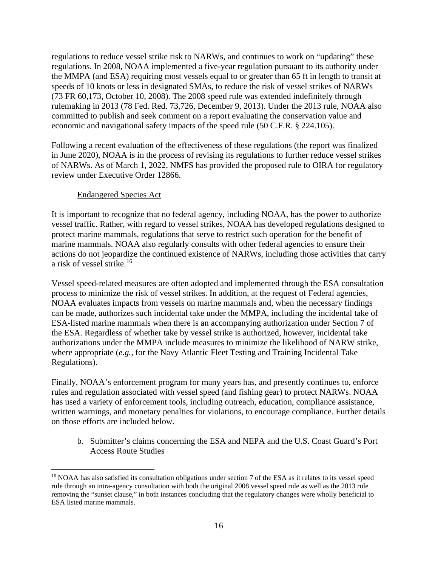regulations to reduce vessel strike risk to NARWs, and continues to work on "updating" these regulations. In 2008, NOAA implemented a five-year regulation pursuant to its authority under the MMPA (and ESA) requiring most vessels equal to or greater than 65 ft in length to transit at speeds of 10 knots or less in designated SMAs, to reduce the risk of vessel strikes of NARWs (73 FR 60,173, October 10, 2008). The 2008 speed rule was extended indefinitely through rulemaking in 2013 (78 Fed. Red. 73,726, December 9, 2013). Under the 2013 rule, NOAA also committed to publish and seek comment on a report evaluating the conservation value and economic and navigational safety impacts of the speed rule (50 C.F.R. § 224.105).

Following a recent evaluation of the effectiveness of these regulations (the report was finalized in June 2020), NOAA is in the process of revising its regulations to further reduce vessel strikes of NARWs. As of March 1, 2022, NMFS has provided the proposed rule to OIRA for regulatory review under Executive Order 12866.

#### Endangered Species Act

It is important to recognize that no federal agency, including NOAA, has the power to authorize vessel traffic. Rather, with regard to vessel strikes, NOAA has developed regulations designed to protect marine mammals, regulations that serve to restrict such operation for the benefit of marine mammals. NOAA also regularly consults with other federal agencies to ensure their actions do not jeopardize the continued existence of NARWs, including those activities that carry a risk of vessel strike.[16](#page-17-0)

Vessel speed-related measures are often adopted and implemented through the ESA consultation process to minimize the risk of vessel strikes. In addition, at the request of Federal agencies, NOAA evaluates impacts from vessels on marine mammals and, when the necessary findings can be made, authorizes such incidental take under the MMPA, including the incidental take of ESA-listed marine mammals when there is an accompanying authorization under Section 7 of the ESA. Regardless of whether take by vessel strike is authorized, however, incidental take authorizations under the MMPA include measures to minimize the likelihood of NARW strike, where appropriate (*e.g.*, for the Navy Atlantic Fleet Testing and Training Incidental Take Regulations).

Finally, NOAA's enforcement program for many years has, and presently continues to, enforce rules and regulation associated with vessel speed (and fishing gear) to protect NARWs. NOAA has used a variety of enforcement tools, including outreach, education, compliance assistance, written warnings, and monetary penalties for violations, to encourage compliance. Further details on those efforts are included below.

b. Submitter's claims concerning the ESA and NEPA and the U.S. Coast Guard's Port Access Route Studies

<span id="page-17-0"></span><sup>&</sup>lt;sup>16</sup> NOAA has also satisfied its consultation obligations under section 7 of the ESA as it relates to its vessel speed rule through an intra-agency consultation with both the original 2008 vessel speed rule as well as the 2013 rule removing the "sunset clause," in both instances concluding that the regulatory changes were wholly beneficial to ESA listed marine mammals.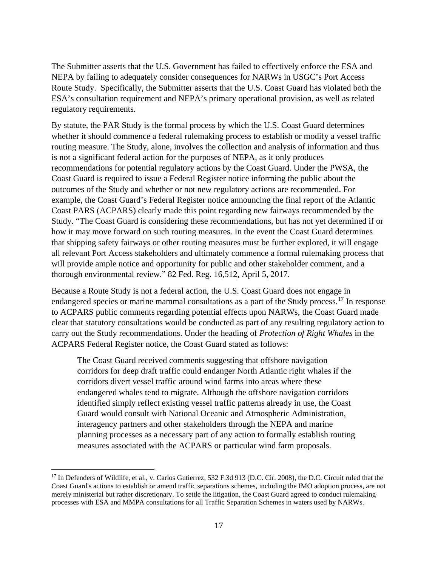The Submitter asserts that the U.S. Government has failed to effectively enforce the ESA and NEPA by failing to adequately consider consequences for NARWs in USGC's Port Access Route Study. Specifically, the Submitter asserts that the U.S. Coast Guard has violated both the ESA's consultation requirement and NEPA's primary operational provision, as well as related regulatory requirements.

By statute, the PAR Study is the formal process by which the U.S. Coast Guard determines whether it should commence a federal rulemaking process to establish or modify a vessel traffic routing measure. The Study, alone, involves the collection and analysis of information and thus is not a significant federal action for the purposes of NEPA, as it only produces recommendations for potential regulatory actions by the Coast Guard. Under the PWSA, the Coast Guard is required to issue a Federal Register notice informing the public about the outcomes of the Study and whether or not new regulatory actions are recommended. For example, the Coast Guard's Federal Register notice announcing the final report of the Atlantic Coast PARS (ACPARS) clearly made this point regarding new fairways recommended by the Study. "The Coast Guard is considering these recommendations, but has not yet determined if or how it may move forward on such routing measures. In the event the Coast Guard determines that shipping safety fairways or other routing measures must be further explored, it will engage all relevant Port Access stakeholders and ultimately commence a formal rulemaking process that will provide ample notice and opportunity for public and other stakeholder comment, and a thorough environmental review." 82 Fed. Reg. 16,512, April 5, 2017.

Because a Route Study is not a federal action, the U.S. Coast Guard does not engage in endangered species or marine mammal consultations as a part of the Study process.<sup>[17](#page-18-0)</sup> In response to ACPARS public comments regarding potential effects upon NARWs, the Coast Guard made clear that statutory consultations would be conducted as part of any resulting regulatory action to carry out the Study recommendations. Under the heading of *Protection of Right Whales* in the ACPARS Federal Register notice, the Coast Guard stated as follows:

The Coast Guard received comments suggesting that offshore navigation corridors for deep draft traffic could endanger North Atlantic right whales if the corridors divert vessel traffic around wind farms into areas where these endangered whales tend to migrate. Although the offshore navigation corridors identified simply reflect existing vessel traffic patterns already in use, the Coast Guard would consult with National Oceanic and Atmospheric Administration, interagency partners and other stakeholders through the NEPA and marine planning processes as a necessary part of any action to formally establish routing measures associated with the ACPARS or particular wind farm proposals.

<span id="page-18-0"></span><sup>&</sup>lt;sup>17</sup> In <u>Defenders of Wildlife, et al., v. Carlos Gutierrez</u>, 532 F.3d 913 (D.C. Cir. 2008), the D.C. Circuit ruled that the Coast Guard's actions to establish or amend traffic separations schemes, including the IMO adoption process, are not merely ministerial but rather discretionary. To settle the litigation, the Coast Guard agreed to conduct rulemaking processes with ESA and MMPA consultations for all Traffic Separation Schemes in waters used by NARWs.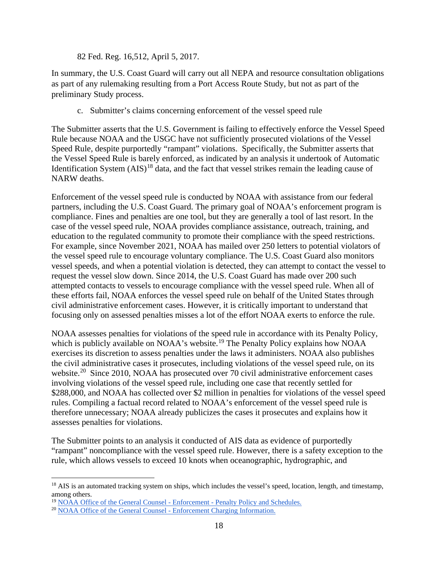82 Fed. Reg. 16,512, April 5, 2017.

In summary, the U.S. Coast Guard will carry out all NEPA and resource consultation obligations as part of any rulemaking resulting from a Port Access Route Study, but not as part of the preliminary Study process.

c. Submitter's claims concerning enforcement of the vessel speed rule

The Submitter asserts that the U.S. Government is failing to effectively enforce the Vessel Speed Rule because NOAA and the USGC have not sufficiently prosecuted violations of the Vessel Speed Rule, despite purportedly "rampant" violations. Specifically, the Submitter asserts that the Vessel Speed Rule is barely enforced, as indicated by an analysis it undertook of Automatic Identification System  $(AIS)^{18}$  $(AIS)^{18}$  $(AIS)^{18}$  data, and the fact that vessel strikes remain the leading cause of NARW deaths.

Enforcement of the vessel speed rule is conducted by NOAA with assistance from our federal partners, including the U.S. Coast Guard. The primary goal of NOAA's enforcement program is compliance. Fines and penalties are one tool, but they are generally a tool of last resort. In the case of the vessel speed rule, NOAA provides compliance assistance, outreach, training, and education to the regulated community to promote their compliance with the speed restrictions. For example, since November 2021, NOAA has mailed over 250 letters to potential violators of the vessel speed rule to encourage voluntary compliance. The U.S. Coast Guard also monitors vessel speeds, and when a potential violation is detected, they can attempt to contact the vessel to request the vessel slow down. Since 2014, the U.S. Coast Guard has made over 200 such attempted contacts to vessels to encourage compliance with the vessel speed rule. When all of these efforts fail, NOAA enforces the vessel speed rule on behalf of the United States through civil administrative enforcement cases. However, it is critically important to understand that focusing only on assessed penalties misses a lot of the effort NOAA exerts to enforce the rule.

NOAA assesses penalties for violations of the speed rule in accordance with its Penalty Policy, which is publicly available on NOAA's website.<sup>[19](#page-19-1)</sup> The Penalty Policy explains how NOAA exercises its discretion to assess penalties under the laws it administers. NOAA also publishes the civil administrative cases it prosecutes, including violations of the vessel speed rule, on its website.<sup>[20](#page-19-2)</sup> Since 2010, NOAA has prosecuted over 70 civil administrative enforcement cases involving violations of the vessel speed rule, including one case that recently settled for \$288,000, and NOAA has collected over \$2 million in penalties for violations of the vessel speed rules. Compiling a factual record related to NOAA's enforcement of the vessel speed rule is therefore unnecessary; NOAA already publicizes the cases it prosecutes and explains how it assesses penalties for violations.

The Submitter points to an analysis it conducted of AIS data as evidence of purportedly "rampant" noncompliance with the vessel speed rule. However, there is a safety exception to the rule, which allows vessels to exceed 10 knots when oceanographic, hydrographic, and

<span id="page-19-0"></span><sup>&</sup>lt;sup>18</sup> AIS is an automated tracking system on ships, which includes the vessel's speed, location, length, and timestamp, among others.

<span id="page-19-1"></span><sup>&</sup>lt;sup>19</sup> [NOAA Office of the General Counsel -](https://www.gc.noaa.gov/enforce-office3.html) Enforcement - Penalty Policy and Schedules.

<span id="page-19-2"></span><sup>20</sup> [NOAA Office of the General Counsel -](https://www.gc.noaa.gov/enforce-office7.html) Enforcement Charging Information.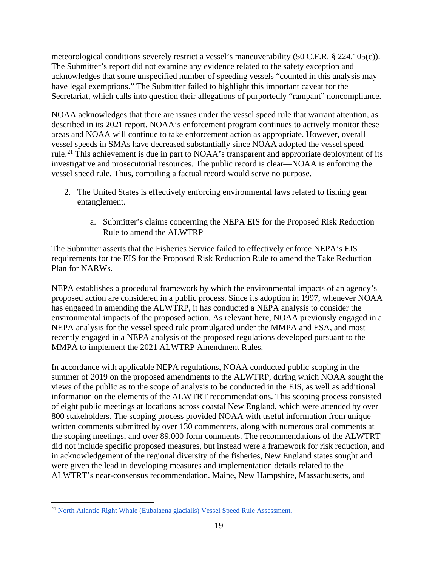meteorological conditions severely restrict a vessel's maneuverability (50 C.F.R. § 224.105(c)). The Submitter's report did not examine any evidence related to the safety exception and acknowledges that some unspecified number of speeding vessels "counted in this analysis may have legal exemptions." The Submitter failed to highlight this important caveat for the Secretariat, which calls into question their allegations of purportedly "rampant" noncompliance.

NOAA acknowledges that there are issues under the vessel speed rule that warrant attention, as described in its 2021 report. NOAA's enforcement program continues to actively monitor these areas and NOAA will continue to take enforcement action as appropriate. However, overall vessel speeds in SMAs have decreased substantially since NOAA adopted the vessel speed rule.<sup>[21](#page-20-0)</sup> This achievement is due in part to NOAA's transparent and appropriate deployment of its investigative and prosecutorial resources. The public record is clear—NOAA is enforcing the vessel speed rule. Thus, compiling a factual record would serve no purpose.

- 2. The United States is effectively enforcing environmental laws related to fishing gear entanglement.
	- a. Submitter's claims concerning the NEPA EIS for the Proposed Risk Reduction Rule to amend the ALWTRP

The Submitter asserts that the Fisheries Service failed to effectively enforce NEPA's EIS requirements for the EIS for the Proposed Risk Reduction Rule to amend the Take Reduction Plan for NARWs.

NEPA establishes a procedural framework by which the environmental impacts of an agency's proposed action are considered in a public process. Since its adoption in 1997, whenever NOAA has engaged in amending the ALWTRP, it has conducted a NEPA analysis to consider the environmental impacts of the proposed action. As relevant here, NOAA previously engaged in a NEPA analysis for the vessel speed rule promulgated under the MMPA and ESA, and most recently engaged in a NEPA analysis of the proposed regulations developed pursuant to the MMPA to implement the 2021 ALWTRP Amendment Rules.

In accordance with applicable NEPA regulations, NOAA conducted public scoping in the summer of 2019 on the proposed amendments to the ALWTRP, during which NOAA sought the views of the public as to the scope of analysis to be conducted in the EIS, as well as additional information on the elements of the ALWTRT recommendations. This scoping process consisted of eight public meetings at locations across coastal New England, which were attended by over 800 stakeholders. The scoping process provided NOAA with useful information from unique written comments submitted by over 130 commenters, along with numerous oral comments at the scoping meetings, and over 89,000 form comments. The recommendations of the ALWTRT did not include specific proposed measures, but instead were a framework for risk reduction, and in acknowledgement of the regional diversity of the fisheries, New England states sought and were given the lead in developing measures and implementation details related to the ALWTRT's near-consensus recommendation. Maine, New Hampshire, Massachusetts, and

<span id="page-20-0"></span><sup>21</sup> [North Atlantic Right Whale \(Eubalaena glacialis\) Vessel Speed Rule Assessment.](https://media.fisheries.noaa.gov/2021-01/FINAL_NARW_Vessel_Speed_Rule_Report_Jun_2020.pdf?null)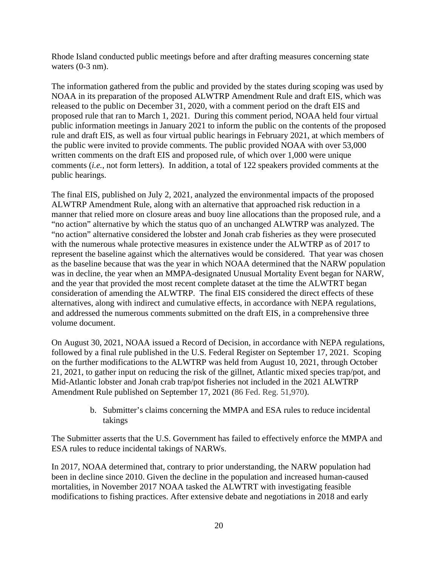Rhode Island conducted public meetings before and after drafting measures concerning state waters  $(0-3)$  nm).

The information gathered from the public and provided by the states during scoping was used by NOAA in its preparation of the proposed ALWTRP Amendment Rule and draft EIS, which was released to the public on December 31, 2020, with a comment period on the draft EIS and proposed rule that ran to March 1, 2021. During this comment period, NOAA held four virtual public information meetings in January 2021 to inform the public on the contents of the proposed rule and draft EIS, as well as four virtual public hearings in February 2021, at which members of the public were invited to provide comments. The public provided NOAA with over 53,000 written comments on the draft EIS and proposed rule, of which over 1,000 were unique comments (*i.e.*, not form letters). In addition, a total of 122 speakers provided comments at the public hearings.

The final EIS, published on July 2, 2021, analyzed the environmental impacts of the proposed ALWTRP Amendment Rule, along with an alternative that approached risk reduction in a manner that relied more on closure areas and buoy line allocations than the proposed rule, and a "no action" alternative by which the status quo of an unchanged ALWTRP was analyzed. The "no action" alternative considered the lobster and Jonah crab fisheries as they were prosecuted with the numerous whale protective measures in existence under the ALWTRP as of 2017 to represent the baseline against which the alternatives would be considered. That year was chosen as the baseline because that was the year in which NOAA determined that the NARW population was in decline, the year when an MMPA-designated Unusual Mortality Event began for NARW, and the year that provided the most recent complete dataset at the time the ALWTRT began consideration of amending the ALWTRP. The final EIS considered the direct effects of these alternatives, along with indirect and cumulative effects, in accordance with NEPA regulations, and addressed the numerous comments submitted on the draft EIS, in a comprehensive three volume document.

On August 30, 2021, NOAA issued a Record of Decision, in accordance with NEPA regulations, followed by a final rule published in the U.S. Federal Register on September 17, 2021. Scoping on the further modifications to the ALWTRP was held from August 10, 2021, through October 21, 2021, to gather input on reducing the risk of the gillnet, Atlantic mixed species trap/pot, and Mid-Atlantic lobster and Jonah crab trap/pot fisheries not included in the 2021 ALWTRP Amendment Rule published on September 17, 2021 (86 Fed. Reg. 51,970).

> b. Submitter's claims concerning the MMPA and ESA rules to reduce incidental takings

The Submitter asserts that the U.S. Government has failed to effectively enforce the MMPA and ESA rules to reduce incidental takings of NARWs.

In 2017, NOAA determined that, contrary to prior understanding, the NARW population had been in decline since 2010. Given the decline in the population and increased human-caused mortalities, in November 2017 NOAA tasked the ALWTRT with investigating feasible modifications to fishing practices. After extensive debate and negotiations in 2018 and early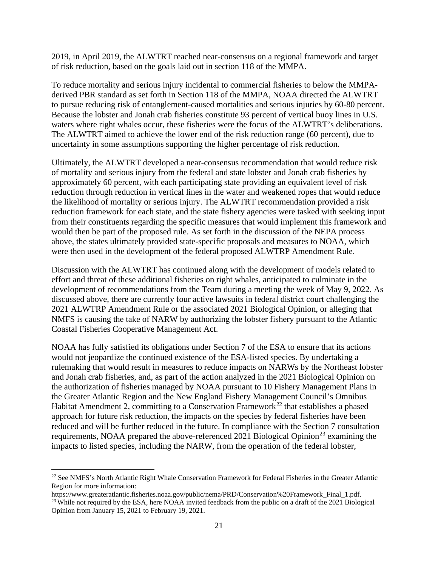2019, in April 2019, the ALWTRT reached near-consensus on a regional framework and target of risk reduction, based on the goals laid out in section 118 of the MMPA.

To reduce mortality and serious injury incidental to commercial fisheries to below the MMPAderived PBR standard as set forth in Section 118 of the MMPA, NOAA directed the ALWTRT to pursue reducing risk of entanglement-caused mortalities and serious injuries by 60-80 percent. Because the lobster and Jonah crab fisheries constitute 93 percent of vertical buoy lines in U.S. waters where right whales occur, these fisheries were the focus of the ALWTRT's deliberations. The ALWTRT aimed to achieve the lower end of the risk reduction range (60 percent), due to uncertainty in some assumptions supporting the higher percentage of risk reduction.

Ultimately, the ALWTRT developed a near-consensus recommendation that would reduce risk of mortality and serious injury from the federal and state lobster and Jonah crab fisheries by approximately 60 percent, with each participating state providing an equivalent level of risk reduction through reduction in vertical lines in the water and weakened ropes that would reduce the likelihood of mortality or serious injury. The ALWTRT recommendation provided a risk reduction framework for each state, and the state fishery agencies were tasked with seeking input from their constituents regarding the specific measures that would implement this framework and would then be part of the proposed rule. As set forth in the discussion of the NEPA process above, the states ultimately provided state-specific proposals and measures to NOAA, which were then used in the development of the federal proposed ALWTRP Amendment Rule.

Discussion with the ALWTRT has continued along with the development of models related to effort and threat of these additional fisheries on right whales, anticipated to culminate in the development of recommendations from the Team during a meeting the week of May 9, 2022. As discussed above, there are currently four active lawsuits in federal district court challenging the 2021 ALWTRP Amendment Rule or the associated 2021 Biological Opinion, or alleging that NMFS is causing the take of NARW by authorizing the lobster fishery pursuant to the Atlantic Coastal Fisheries Cooperative Management Act.

NOAA has fully satisfied its obligations under Section 7 of the ESA to ensure that its actions would not jeopardize the continued existence of the ESA-listed species. By undertaking a rulemaking that would result in measures to reduce impacts on NARWs by the Northeast lobster and Jonah crab fisheries, and, as part of the action analyzed in the 2021 Biological Opinion on the authorization of fisheries managed by NOAA pursuant to 10 Fishery Management Plans in the Greater Atlantic Region and the New England Fishery Management Council's Omnibus Habitat Amendment 2, committing to a Conservation Framework<sup>[22](#page-22-0)</sup> that establishes a phased approach for future risk reduction, the impacts on the species by federal fisheries have been reduced and will be further reduced in the future. In compliance with the Section 7 consultation requirements, NOAA prepared the above-referenced 2021 Biological Opinion<sup>[23](#page-22-1)</sup> examining the impacts to listed species, including the NARW, from the operation of the federal lobster,

<span id="page-22-0"></span><sup>&</sup>lt;sup>22</sup> See NMFS's North Atlantic Right Whale Conservation Framework for Federal Fisheries in the Greater Atlantic Region for more information:

<span id="page-22-1"></span>https://www.greateratlantic.fisheries.noaa.gov/public/nema/PRD/Conservation%20Framework\_Final\_1.pdf. <sup>23</sup> While not required by the ESA, here NOAA invited feedback from the public on a draft of the 2021 Biological Opinion from January 15, 2021 to February 19, 2021.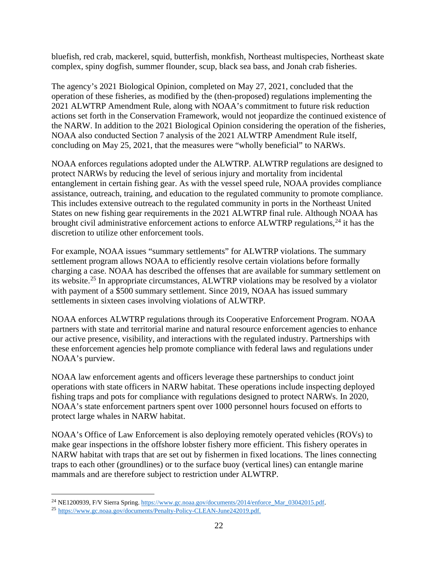bluefish, red crab, mackerel, squid, butterfish, monkfish, Northeast multispecies, Northeast skate complex, spiny dogfish, summer flounder, scup, black sea bass, and Jonah crab fisheries.

The agency's 2021 Biological Opinion, completed on May 27, 2021, concluded that the operation of these fisheries, as modified by the (then-proposed) regulations implementing the 2021 ALWTRP Amendment Rule, along with NOAA's commitment to future risk reduction actions set forth in the Conservation Framework, would not jeopardize the continued existence of the NARW. In addition to the 2021 Biological Opinion considering the operation of the fisheries, NOAA also conducted Section 7 analysis of the 2021 ALWTRP Amendment Rule itself, concluding on May 25, 2021, that the measures were "wholly beneficial" to NARWs.

NOAA enforces regulations adopted under the ALWTRP. ALWTRP regulations are designed to protect NARWs by reducing the level of serious injury and mortality from incidental entanglement in certain fishing gear. As with the vessel speed rule, NOAA provides compliance assistance, outreach, training, and education to the regulated community to promote compliance. This includes extensive outreach to the regulated community in ports in the Northeast United States on new fishing gear requirements in the 2021 ALWTRP final rule. Although NOAA has brought civil administrative enforcement actions to enforce ALWTRP regulations, $^{24}$  $^{24}$  $^{24}$  it has the discretion to utilize other enforcement tools.

For example, NOAA issues "summary settlements" for ALWTRP violations. The summary settlement program allows NOAA to efficiently resolve certain violations before formally charging a case. NOAA has described the offenses that are available for summary settlement on its website.<sup>[25](#page-23-1)</sup> In appropriate circumstances, ALWTRP violations may be resolved by a violator with payment of a \$500 summary settlement. Since 2019, NOAA has issued summary settlements in sixteen cases involving violations of ALWTRP.

NOAA enforces ALWTRP regulations through its Cooperative Enforcement Program. NOAA partners with state and territorial marine and natural resource enforcement agencies to enhance our active presence, visibility, and interactions with the regulated industry. Partnerships with these enforcement agencies help promote compliance with federal laws and regulations under NOAA's purview.

NOAA law enforcement agents and officers leverage these partnerships to conduct joint operations with state officers in NARW habitat. These operations include inspecting deployed fishing traps and pots for compliance with regulations designed to protect NARWs. In 2020, NOAA's state enforcement partners spent over 1000 personnel hours focused on efforts to protect large whales in NARW habitat.

NOAA's Office of Law Enforcement is also deploying remotely operated vehicles (ROVs) to make gear inspections in the offshore lobster fishery more efficient. This fishery operates in NARW habitat with traps that are set out by fishermen in fixed locations. The lines connecting traps to each other (groundlines) or to the surface buoy (vertical lines) can entangle marine mammals and are therefore subject to restriction under ALWTRP.

<span id="page-23-0"></span><sup>&</sup>lt;sup>24</sup> NE1200939, F/V Sierra Spring[. https://www.gc.noaa.gov/documents/2014/enforce\\_Mar\\_03042015.pdf.](https://www.gc.noaa.gov/documents/2014/enforce_Mar_03042015.pdf)

<span id="page-23-1"></span><sup>25</sup> [https://www.gc.noaa.gov/documents/Penalty-Policy-CLEAN-June242019.pdf.](https://www.gc.noaa.gov/documents/Penalty-Policy-CLEAN-June242019.pdf)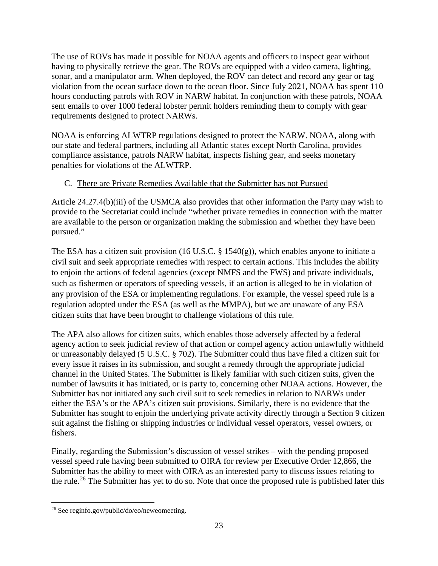The use of ROVs has made it possible for NOAA agents and officers to inspect gear without having to physically retrieve the gear. The ROVs are equipped with a video camera, lighting, sonar, and a manipulator arm. When deployed, the ROV can detect and record any gear or tag violation from the ocean surface down to the ocean floor. Since July 2021, NOAA has spent 110 hours conducting patrols with ROV in NARW habitat. In conjunction with these patrols, NOAA sent emails to over 1000 federal lobster permit holders reminding them to comply with gear requirements designed to protect NARWs.

NOAA is enforcing ALWTRP regulations designed to protect the NARW. NOAA, along with our state and federal partners, including all Atlantic states except North Carolina, provides compliance assistance, patrols NARW habitat, inspects fishing gear, and seeks monetary penalties for violations of the ALWTRP.

## <span id="page-24-0"></span>C. There are Private Remedies Available that the Submitter has not Pursued

Article 24.27.4(b)(iii) of the USMCA also provides that other information the Party may wish to provide to the Secretariat could include "whether private remedies in connection with the matter are available to the person or organization making the submission and whether they have been pursued."

The ESA has a citizen suit provision (16 U.S.C.  $\S$  1540(g)), which enables anyone to initiate a civil suit and seek appropriate remedies with respect to certain actions. This includes the ability to enjoin the actions of federal agencies (except NMFS and the FWS) and private individuals, such as fishermen or operators of speeding vessels, if an action is alleged to be in violation of any provision of the ESA or implementing regulations. For example, the vessel speed rule is a regulation adopted under the ESA (as well as the MMPA), but we are unaware of any ESA citizen suits that have been brought to challenge violations of this rule.

The APA also allows for citizen suits, which enables those adversely affected by a federal agency action to seek judicial review of that action or compel agency action unlawfully withheld or unreasonably delayed (5 U.S.C. § 702). The Submitter could thus have filed a citizen suit for every issue it raises in its submission, and sought a remedy through the appropriate judicial channel in the United States. The Submitter is likely familiar with such citizen suits, given the number of lawsuits it has initiated, or is party to, concerning other NOAA actions. However, the Submitter has not initiated any such civil suit to seek remedies in relation to NARWs under either the ESA's or the APA's citizen suit provisions. Similarly, there is no evidence that the Submitter has sought to enjoin the underlying private activity directly through a Section 9 citizen suit against the fishing or shipping industries or individual vessel operators, vessel owners, or fishers.

Finally, regarding the Submission's discussion of vessel strikes – with the pending proposed vessel speed rule having been submitted to OIRA for review per Executive Order 12,866, the Submitter has the ability to meet with OIRA as an interested party to discuss issues relating to the rule.<sup>[26](#page-24-1)</sup> The Submitter has yet to do so. Note that once the proposed rule is published later this

<span id="page-24-1"></span><sup>26</sup> See reginfo.gov/public/do/eo/neweomeeting.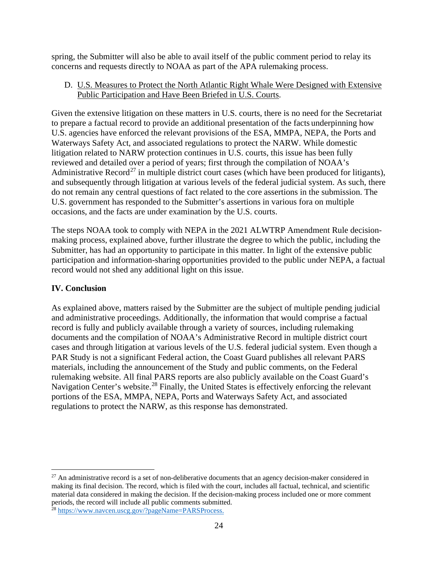spring, the Submitter will also be able to avail itself of the public comment period to relay its concerns and requests directly to NOAA as part of the APA rulemaking process.

#### <span id="page-25-0"></span>D. U.S. Measures to Protect the North Atlantic Right Whale Were Designed with Extensive Public Participation and Have Been Briefed in U.S. Courts.

Given the extensive litigation on these matters in U.S. courts, there is no need for the Secretariat to prepare a factual record to provide an additional presentation of the facts underpinning how U.S. agencies have enforced the relevant provisions of the ESA, MMPA, NEPA, the Ports and Waterways Safety Act, and associated regulations to protect the NARW. While domestic litigation related to NARW protection continues in U.S. courts, this issue has been fully reviewed and detailed over a period of years; first through the compilation of NOAA's Administrative Record<sup>[27](#page-25-2)</sup> in multiple district court cases (which have been produced for litigants), and subsequently through litigation at various levels of the federal judicial system. As such, there do not remain any central questions of fact related to the core assertions in the submission. The U.S. government has responded to the Submitter's assertions in various fora on multiple occasions, and the facts are under examination by the U.S. courts.

The steps NOAA took to comply with NEPA in the 2021 ALWTRP Amendment Rule decisionmaking process, explained above, further illustrate the degree to which the public, including the Submitter, has had an opportunity to participate in this matter. In light of the extensive public participation and information-sharing opportunities provided to the public under NEPA, a factual record would not shed any additional light on this issue.

## <span id="page-25-1"></span>**IV. Conclusion**

As explained above, matters raised by the Submitter are the subject of multiple pending judicial and administrative proceedings. Additionally, the information that would comprise a factual record is fully and publicly available through a variety of sources, including rulemaking documents and the compilation of NOAA's Administrative Record in multiple district court cases and through litigation at various levels of the U.S. federal judicial system. Even though a PAR Study is not a significant Federal action, the Coast Guard publishes all relevant PARS materials, including the announcement of the Study and public comments, on the Federal rulemaking website. All final PARS reports are also publicly available on the Coast Guard's Navigation Center's website.<sup>[28](#page-25-3)</sup> Finally, the United States is effectively enforcing the relevant portions of the ESA, MMPA, NEPA, Ports and Waterways Safety Act, and associated regulations to protect the NARW, as this response has demonstrated.

<span id="page-25-2"></span> $27$  An administrative record is a set of non-deliberative documents that an agency decision-maker considered in making its final decision. The record, which is filed with the court, includes all factual, technical, and scientific material data considered in making the decision. If the decision-making process included one or more comment periods, the record will include all public comments submitted.

<span id="page-25-3"></span><sup>&</sup>lt;sup>28</sup> [https://www.navcen.uscg.gov/?pageName=PARSProcess.](https://www.navcen.uscg.gov/?pageName=PARSProcess)